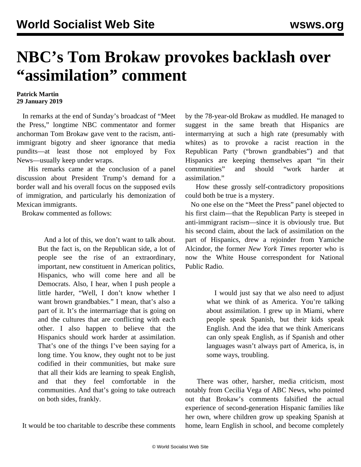## **NBC's Tom Brokaw provokes backlash over "assimilation" comment**

## **Patrick Martin 29 January 2019**

 In remarks at the end of Sunday's broadcast of "Meet the Press," longtime NBC commentator and former anchorman Tom Brokaw gave vent to the racism, antiimmigrant bigotry and sheer ignorance that media pundits—at least those not employed by Fox News—usually keep under wraps.

 His remarks came at the conclusion of a panel discussion about President Trump's demand for a border wall and his overall focus on the supposed evils of immigration, and particularly his demonization of Mexican immigrants.

Brokaw commented as follows:

 And a lot of this, we don't want to talk about. But the fact is, on the Republican side, a lot of people see the rise of an extraordinary, important, new constituent in American politics, Hispanics, who will come here and all be Democrats. Also, I hear, when I push people a little harder, "Well, I don't know whether I want brown grandbabies." I mean, that's also a part of it. It's the intermarriage that is going on and the cultures that are conflicting with each other. I also happen to believe that the Hispanics should work harder at assimilation. That's one of the things I've been saying for a long time. You know, they ought not to be just codified in their communities, but make sure that all their kids are learning to speak English, and that they feel comfortable in the communities. And that's going to take outreach on both sides, frankly.

It would be too charitable to describe these comments

by the 78-year-old Brokaw as muddled. He managed to suggest in the same breath that Hispanics are intermarrying at such a high rate (presumably with whites) as to provoke a racist reaction in the Republican Party ("brown grandbabies") and that Hispanics are keeping themselves apart "in their communities" and should "work harder at assimilation."

 How these grossly self-contradictory propositions could both be true is a mystery.

 No one else on the "Meet the Press" panel objected to his first claim—that the Republican Party is steeped in anti-immigrant racism—since it is obviously true. But his second claim, about the lack of assimilation on the part of Hispanics, drew a rejoinder from Yamiche Alcindor, the former *New York Times* reporter who is now the White House correspondent for National Public Radio.

> I would just say that we also need to adjust what we think of as America. You're talking about assimilation. I grew up in Miami, where people speak Spanish, but their kids speak English. And the idea that we think Americans can only speak English, as if Spanish and other languages wasn't always part of America, is, in some ways, troubling.

 There was other, harsher, media criticism, most notably from Cecilia Vega of ABC News, who pointed out that Brokaw's comments falsified the actual experience of second-generation Hispanic families like her own, where children grow up speaking Spanish at home, learn English in school, and become completely